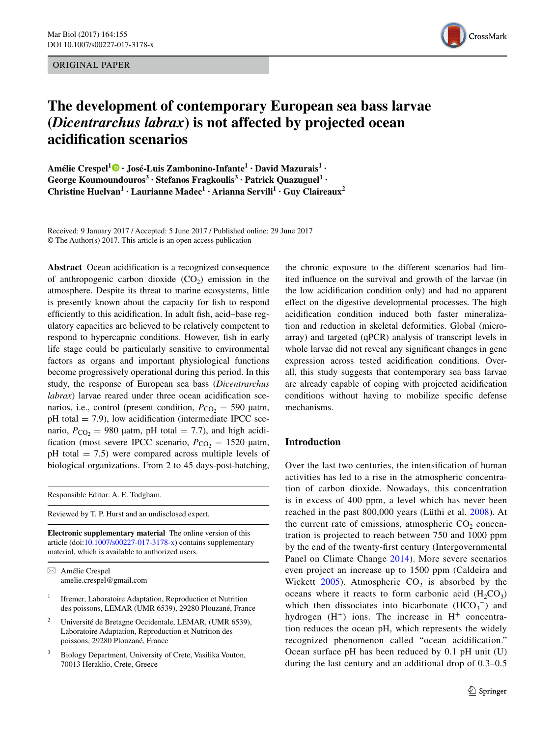ORIGINAL PAPER



# **The development of contemporary European sea bass larvae (***Dicentrarchus labrax***) is not affected by projected ocean acidifcation scenarios**

**Amélie Crespel[1](http://orcid.org/0000-0002-6351-9008) · José‑Luis Zambonino‑Infante1 · David Mazurais1 · George Koumoundouros<sup>3</sup> · Stefanos Fragkoulis<sup>3</sup> · Patrick Quazuguel1 · Christine Huelvan<sup>1</sup> · Laurianne Madec1 · Arianna Servili<sup>1</sup> · Guy Claireaux2**

Received: 9 January 2017 / Accepted: 5 June 2017 / Published online: 29 June 2017 © The Author(s) 2017. This article is an open access publication

**Abstract** Ocean acidifcation is a recognized consequence of anthropogenic carbon dioxide  $(CO<sub>2</sub>)$  emission in the atmosphere. Despite its threat to marine ecosystems, little is presently known about the capacity for fish to respond efficiently to this acidification. In adult fish, acid-base regulatory capacities are believed to be relatively competent to respond to hypercapnic conditions. However, fsh in early life stage could be particularly sensitive to environmental factors as organs and important physiological functions become progressively operational during this period. In this study, the response of European sea bass (*Dicentrarchus labrax*) larvae reared under three ocean acidifcation scenarios, i.e., control (present condition,  $P_{CO_2} = 590$  µatm,  $pH$  total  $= 7.9$ ), low acidification (intermediate IPCC scenario,  $P_{CO_2}$  = 980 µatm, pH total = 7.7), and high acidification (most severe IPCC scenario,  $P_{CO_2} = 1520$  µatm,  $pH$  total  $= 7.5$ ) were compared across multiple levels of biological organizations. From 2 to 45 days-post-hatching,

Responsible Editor: A. E. Todgham.

Reviewed by T. P. Hurst and an undisclosed expert.

**Electronic supplementary material** The online version of this article (doi[:10.1007/s00227-017-3178-x](http://dx.doi.org/10.1007/s00227-017-3178-x)) contains supplementary material, which is available to authorized users.

 $\boxtimes$  Amélie Crespel amelie.crespel@gmail.com

- <sup>1</sup> Ifremer, Laboratoire Adaptation, Reproduction et Nutrition des poissons, LEMAR (UMR 6539), 29280 Plouzané, France
- <sup>2</sup> Université de Bretagne Occidentale, LEMAR, (UMR 6539), Laboratoire Adaptation, Reproduction et Nutrition des poissons, 29280 Plouzané, France
- <sup>3</sup> Biology Department, University of Crete, Vasilika Vouton, 70013 Heraklio, Crete, Greece

the chronic exposure to the different scenarios had limited infuence on the survival and growth of the larvae (in the low acidifcation condition only) and had no apparent effect on the digestive developmental processes. The high acidifcation condition induced both faster mineralization and reduction in skeletal deformities. Global (microarray) and targeted (qPCR) analysis of transcript levels in whole larvae did not reveal any signifcant changes in gene expression across tested acidifcation conditions. Overall, this study suggests that contemporary sea bass larvae are already capable of coping with projected acidifcation conditions without having to mobilize specifc defense mechanisms.

## **Introduction**

Over the last two centuries, the intensifcation of human activities has led to a rise in the atmospheric concentration of carbon dioxide. Nowadays, this concentration is in excess of 400 ppm, a level which has never been reached in the past 800,000 years (Lüthi et al. [2008](#page-11-0)). At the current rate of emissions, atmospheric  $CO<sub>2</sub>$  concentration is projected to reach between 750 and 1000 ppm by the end of the twenty-frst century (Intergovernmental Panel on Climate Change [2014\)](#page-10-0). More severe scenarios even project an increase up to 1500 ppm (Caldeira and Wickett  $2005$ ). Atmospheric  $CO<sub>2</sub>$  is absorbed by the oceans where it reacts to form carbonic acid  $(H_2CO_3)$ which then dissociates into bicarbonate  $(HCO<sub>3</sub><sup>-</sup>)$  and hydrogen  $(H^+)$  ions. The increase in  $H^+$  concentration reduces the ocean pH, which represents the widely recognized phenomenon called "ocean acidifcation." Ocean surface pH has been reduced by 0.1 pH unit (U) during the last century and an additional drop of 0.3–0.5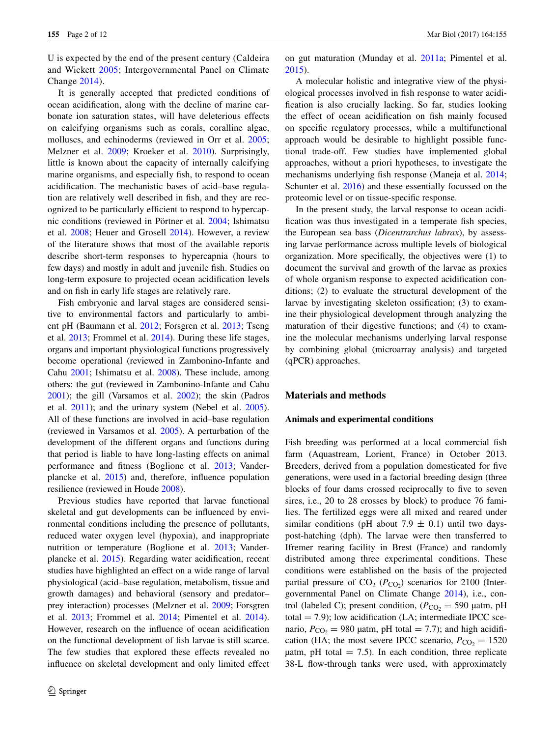U is expected by the end of the present century (Caldeira and Wickett [2005](#page-10-1); Intergovernmental Panel on Climate Change [2014](#page-10-0)).

It is generally accepted that predicted conditions of ocean acidifcation, along with the decline of marine carbonate ion saturation states, will have deleterious effects on calcifying organisms such as corals, coralline algae, molluscs, and echinoderms (reviewed in Orr et al. [2005](#page-11-1); Melzner et al. [2009;](#page-11-2) Kroeker et al. [2010\)](#page-10-2). Surprisingly, little is known about the capacity of internally calcifying marine organisms, and especially fsh, to respond to ocean acidifcation. The mechanistic bases of acid–base regulation are relatively well described in fsh, and they are recognized to be particularly efficient to respond to hypercapnic conditions (reviewed in Pörtner et al. [2004;](#page-11-3) Ishimatsu et al. [2008;](#page-10-3) Heuer and Grosell [2014](#page-10-4)). However, a review of the literature shows that most of the available reports describe short-term responses to hypercapnia (hours to few days) and mostly in adult and juvenile fsh. Studies on long-term exposure to projected ocean acidifcation levels and on fsh in early life stages are relatively rare.

Fish embryonic and larval stages are considered sensitive to environmental factors and particularly to ambient pH (Baumann et al. [2012;](#page-10-5) Forsgren et al. [2013;](#page-10-6) Tseng et al. [2013;](#page-11-4) Frommel et al. [2014](#page-10-7)). During these life stages, organs and important physiological functions progressively become operational (reviewed in Zambonino-Infante and Cahu [2001;](#page-11-5) Ishimatsu et al. [2008](#page-10-3)). These include, among others: the gut (reviewed in Zambonino-Infante and Cahu [2001](#page-11-5)); the gill (Varsamos et al. [2002\)](#page-11-6); the skin (Padros et al. [2011](#page-11-7)); and the urinary system (Nebel et al. [2005](#page-11-8)). All of these functions are involved in acid–base regulation (reviewed in Varsamos et al. [2005](#page-11-9)). A perturbation of the development of the different organs and functions during that period is liable to have long-lasting effects on animal performance and ftness (Boglione et al. [2013](#page-10-8); Vanderplancke et al. [2015\)](#page-11-10) and, therefore, infuence population resilience (reviewed in Houde [2008](#page-10-9)).

Previous studies have reported that larvae functional skeletal and gut developments can be infuenced by environmental conditions including the presence of pollutants, reduced water oxygen level (hypoxia), and inappropriate nutrition or temperature (Boglione et al. [2013](#page-10-8); Vanderplancke et al. [2015](#page-11-10)). Regarding water acidifcation, recent studies have highlighted an effect on a wide range of larval physiological (acid–base regulation, metabolism, tissue and growth damages) and behavioral (sensory and predator– prey interaction) processes (Melzner et al. [2009](#page-11-2); Forsgren et al. [2013;](#page-10-6) Frommel et al. [2014;](#page-10-7) Pimentel et al. [2014](#page-11-11)). However, research on the infuence of ocean acidifcation on the functional development of fsh larvae is still scarce. The few studies that explored these effects revealed no infuence on skeletal development and only limited effect on gut maturation (Munday et al. [2011a](#page-11-12); Pimentel et al. [2015](#page-11-13)).

A molecular holistic and integrative view of the physiological processes involved in fsh response to water acidifcation is also crucially lacking. So far, studies looking the effect of ocean acidification on fish mainly focused on specifc regulatory processes, while a multifunctional approach would be desirable to highlight possible functional trade-off. Few studies have implemented global approaches, without a priori hypotheses, to investigate the mechanisms underlying fsh response (Maneja et al. [2014](#page-11-14); Schunter et al. [2016\)](#page-11-15) and these essentially focussed on the proteomic level or on tissue-specifc response.

In the present study, the larval response to ocean acidifcation was thus investigated in a temperate fsh species, the European sea bass (*Dicentrarchus labrax*), by assessing larvae performance across multiple levels of biological organization. More specifcally, the objectives were (1) to document the survival and growth of the larvae as proxies of whole organism response to expected acidifcation conditions; (2) to evaluate the structural development of the larvae by investigating skeleton ossifcation; (3) to examine their physiological development through analyzing the maturation of their digestive functions; and (4) to examine the molecular mechanisms underlying larval response by combining global (microarray analysis) and targeted (qPCR) approaches.

## **Materials and methods**

#### **Animals and experimental conditions**

Fish breeding was performed at a local commercial fsh farm (Aquastream, Lorient, France) in October 2013. Breeders, derived from a population domesticated for fve generations, were used in a factorial breeding design (three blocks of four dams crossed reciprocally to five to seven sires, i.e., 20 to 28 crosses by block) to produce 76 families. The fertilized eggs were all mixed and reared under similar conditions (pH about 7.9  $\pm$  0.1) until two dayspost-hatching (dph). The larvae were then transferred to Ifremer rearing facility in Brest (France) and randomly distributed among three experimental conditions. These conditions were established on the basis of the projected partial pressure of  $CO_2$  ( $P_{CO_2}$ ) scenarios for 2100 (Intergovernmental Panel on Climate Change [2014](#page-10-0)), i.e., control (labeled C); present condition,  $(P_{CO_2} = 590 \mu atm, pH$ total  $= 7.9$ ); low acidification (LA; intermediate IPCC scenario,  $P_{CO_2}$  = 980 µatm, pH total = 7.7); and high acidification (HA; the most severe IPCC scenario,  $P_{\text{CO}_2} = 1520$  $\mu$ atm, pH total = 7.5). In each condition, three replicate 38-L fow-through tanks were used, with approximately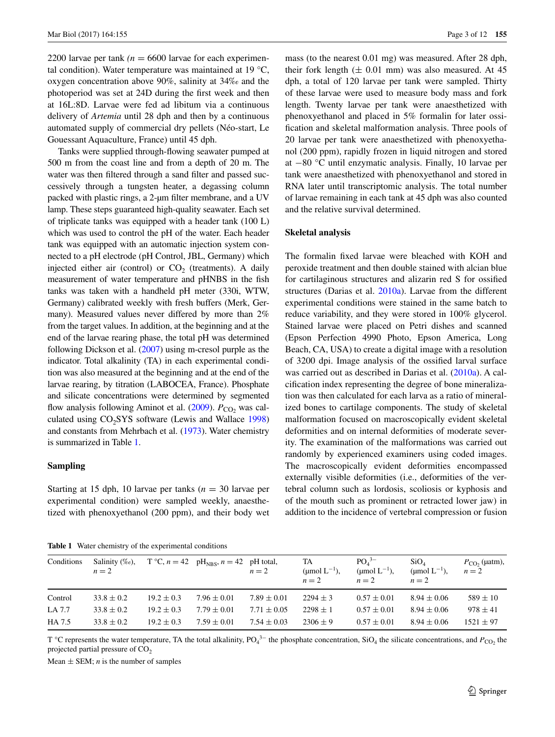2200 larvae per tank  $(n = 6600$  larvae for each experimental condition). Water temperature was maintained at 19 °C, oxygen concentration above 90%, salinity at 34‰ and the photoperiod was set at 24D during the frst week and then at 16L:8D. Larvae were fed ad libitum via a continuous delivery of *Artemia* until 28 dph and then by a continuous automated supply of commercial dry pellets (Néo-start, Le Gouessant Aquaculture, France) until 45 dph.

Tanks were supplied through-fowing seawater pumped at 500 m from the coast line and from a depth of 20 m. The water was then fltered through a sand flter and passed successively through a tungsten heater, a degassing column packed with plastic rings, a 2-um filter membrane, and a UV lamp. These steps guaranteed high-quality seawater. Each set of triplicate tanks was equipped with a header tank (100 L) which was used to control the pH of the water. Each header tank was equipped with an automatic injection system connected to a pH electrode (pH Control, JBL, Germany) which injected either air (control) or  $CO<sub>2</sub>$  (treatments). A daily measurement of water temperature and pHNBS in the fsh tanks was taken with a handheld pH meter (330i, WTW, Germany) calibrated weekly with fresh buffers (Merk, Germany). Measured values never differed by more than 2% from the target values. In addition, at the beginning and at the end of the larvae rearing phase, the total pH was determined following Dickson et al. [\(2007\)](#page-10-10) using m-cresol purple as the indicator. Total alkalinity (TA) in each experimental condition was also measured at the beginning and at the end of the larvae rearing, by titration (LABOCEA, France). Phosphate and silicate concentrations were determined by segmented flow analysis following Aminot et al. [\(2009\)](#page-10-11).  $P_{\text{CO}_2}$  was calculated using  $CO<sub>2</sub>SYS$  software (Lewis and Wallace [1998\)](#page-11-16) and constants from Mehrbach et al. ([1973](#page-11-17)). Water chemistry is summarized in Table [1.](#page-2-0)

### **Sampling**

Starting at 15 dph, 10 larvae per tanks (*n* = 30 larvae per experimental condition) were sampled weekly, anaesthetized with phenoxyethanol (200 ppm), and their body wet

<span id="page-2-0"></span>**Table 1** Water chemistry of the experimental conditions

mass (to the nearest 0.01 mg) was measured. After 28 dph, their fork length  $(\pm 0.01 \text{ mm})$  was also measured. At 45 dph, a total of 120 larvae per tank were sampled. Thirty of these larvae were used to measure body mass and fork length. Twenty larvae per tank were anaesthetized with phenoxyethanol and placed in 5% formalin for later ossifcation and skeletal malformation analysis. Three pools of 20 larvae per tank were anaesthetized with phenoxyethanol (200 ppm), rapidly frozen in liquid nitrogen and stored at −80 °C until enzymatic analysis. Finally, 10 larvae per tank were anaesthetized with phenoxyethanol and stored in RNA later until transcriptomic analysis. The total number of larvae remaining in each tank at 45 dph was also counted and the relative survival determined.

## **Skeletal analysis**

The formalin fxed larvae were bleached with KOH and peroxide treatment and then double stained with alcian blue for cartilaginous structures and alizarin red S for ossifed structures (Darias et al. [2010a](#page-10-12)). Larvae from the different experimental conditions were stained in the same batch to reduce variability, and they were stored in 100% glycerol. Stained larvae were placed on Petri dishes and scanned (Epson Perfection 4990 Photo, Epson America, Long Beach, CA, USA) to create a digital image with a resolution of 3200 dpi. Image analysis of the ossifed larval surface was carried out as described in Darias et al. ([2010a](#page-10-12)). A calcifcation index representing the degree of bone mineralization was then calculated for each larva as a ratio of mineralized bones to cartilage components. The study of skeletal malformation focused on macroscopically evident skeletal deformities and on internal deformities of moderate severity. The examination of the malformations was carried out randomly by experienced examiners using coded images. The macroscopically evident deformities encompassed externally visible deformities (i.e., deformities of the vertebral column such as lordosis, scoliosis or kyphosis and of the mouth such as prominent or retracted lower jaw) in addition to the incidence of vertebral compression or fusion

| Conditions | Salinity $(\%$ o),<br>$n=2$ |                | $T^{\circ}C$ , $n = 42$ pH <sub>NBS</sub> , $n = 42$ pH total, | $n=2$           | TA<br>(umol $L^{-1}$ ),<br>$n=2$ | PO <sub>4</sub> <sup>3–</sup><br>(umol $L^{-1}$ ),<br>$n=2$ | SiO <sub>4</sub><br>(umol $L^{-1}$ ),<br>$n=2$ | $P_{\rm CO}$ , (µatm),<br>$n=2$ |
|------------|-----------------------------|----------------|----------------------------------------------------------------|-----------------|----------------------------------|-------------------------------------------------------------|------------------------------------------------|---------------------------------|
| Control    | $33.8 \pm 0.2$              | $19.2 \pm 0.3$ | $7.96 \pm 0.01$                                                | $7.89 \pm 0.01$ | $2294 \pm 3$                     | $0.57 \pm 0.01$                                             | $8.94 \pm 0.06$                                | $589 \pm 10$                    |
| LA 7.7     | $33.8 \pm 0.2$              | $19.2 \pm 0.3$ | $7.79 \pm 0.01$                                                | $7.71 \pm 0.05$ | $2298 \pm 1$                     | $0.57 \pm 0.01$                                             | $8.94 \pm 0.06$                                | $978 \pm 41$                    |
| HA 7.5     | $33.8 \pm 0.2$              | $19.2 \pm 0.3$ | $7.59 \pm 0.01$                                                | $7.54 \pm 0.03$ | $2306 \pm 9$                     | $0.57 \pm 0.01$                                             | $8.94 \pm 0.06$                                | $1521 \pm 97$                   |

T °C represents the water temperature, TA the total alkalinity,  $PO<sub>4</sub><sup>3-</sup>$  the phosphate concentration, SiO<sub>4</sub> the silicate concentrations, and  $P_{CO_2}$  the projected partial pressure of CO<sub>2</sub>

Mean  $\pm$  SEM; *n* is the number of samples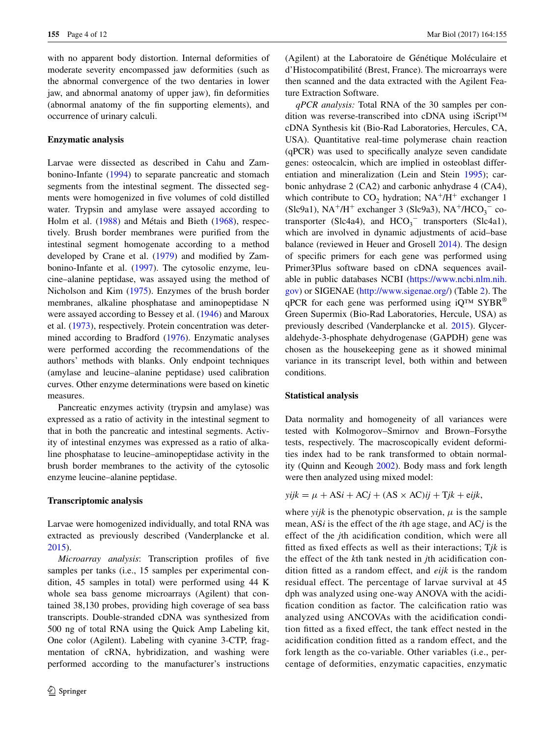with no apparent body distortion. Internal deformities of moderate severity encompassed jaw deformities (such as the abnormal convergence of the two dentaries in lower jaw, and abnormal anatomy of upper jaw), fn deformities (abnormal anatomy of the fn supporting elements), and occurrence of urinary calculi.

#### **Enzymatic analysis**

Larvae were dissected as described in Cahu and Zambonino-Infante [\(1994](#page-10-13)) to separate pancreatic and stomach segments from the intestinal segment. The dissected segments were homogenized in fve volumes of cold distilled water. Trypsin and amylase were assayed according to Holm et al. [\(1988](#page-10-14)) and Métais and Bieth [\(1968](#page-11-18)), respectively. Brush border membranes were purifed from the intestinal segment homogenate according to a method developed by Crane et al. [\(1979](#page-10-15)) and modifed by Zambonino-Infante et al. [\(1997](#page-11-19)). The cytosolic enzyme, leucine–alanine peptidase, was assayed using the method of Nicholson and Kim ([1975\)](#page-11-20). Enzymes of the brush border membranes, alkaline phosphatase and aminopeptidase N were assayed according to Bessey et al. ([1946\)](#page-10-16) and Maroux et al. [\(1973](#page-11-21)), respectively. Protein concentration was determined according to Bradford ([1976\)](#page-10-17). Enzymatic analyses were performed according the recommendations of the authors' methods with blanks. Only endpoint techniques (amylase and leucine–alanine peptidase) used calibration curves. Other enzyme determinations were based on kinetic measures.

Pancreatic enzymes activity (trypsin and amylase) was expressed as a ratio of activity in the intestinal segment to that in both the pancreatic and intestinal segments. Activity of intestinal enzymes was expressed as a ratio of alkaline phosphatase to leucine–aminopeptidase activity in the brush border membranes to the activity of the cytosolic enzyme leucine–alanine peptidase.

#### **Transcriptomic analysis**

Larvae were homogenized individually, and total RNA was extracted as previously described (Vanderplancke et al. [2015](#page-11-10)).

*Microarray analysis*: Transcription profles of fve samples per tanks (i.e., 15 samples per experimental condition, 45 samples in total) were performed using 44 K whole sea bass genome microarrays (Agilent) that contained 38,130 probes, providing high coverage of sea bass transcripts. Double-stranded cDNA was synthesized from 500 ng of total RNA using the Quick Amp Labeling kit, One color (Agilent). Labeling with cyanine 3-CTP, fragmentation of cRNA, hybridization, and washing were performed according to the manufacturer's instructions

(Agilent) at the Laboratoire de Génétique Moléculaire et d'Histocompatibilité (Brest, France). The microarrays were then scanned and the data extracted with the Agilent Feature Extraction Software.

*qPCR analysis:* Total RNA of the 30 samples per condition was reverse-transcribed into cDNA using iScript™ cDNA Synthesis kit (Bio-Rad Laboratories, Hercules, CA, USA). Quantitative real-time polymerase chain reaction (qPCR) was used to specifcally analyze seven candidate genes: osteocalcin, which are implied in osteoblast differentiation and mineralization (Lein and Stein [1995](#page-11-22)); carbonic anhydrase 2 (CA2) and carbonic anhydrase 4 (CA4), which contribute to  $CO<sub>2</sub>$  hydration; NA<sup>+</sup>/H<sup>+</sup> exchanger 1 (Slc9a1), NA<sup>+</sup>/H<sup>+</sup> exchanger 3 (Slc9a3), NA<sup>+</sup>/HCO<sub>3</sub><sup>-</sup> cotransporter (Slc4a4), and  $HCO_3^-$  transporters (Slc4a1), which are involved in dynamic adjustments of acid–base balance (reviewed in Heuer and Grosell [2014\)](#page-10-4). The design of specifc primers for each gene was performed using Primer3Plus software based on cDNA sequences available in public databases NCBI ([https://www.ncbi.nlm.nih.](https://www.ncbi.nlm.nih.gov) [gov\)](https://www.ncbi.nlm.nih.gov) or SIGENAE ([http://www.sigenae.org/\)](http://www.sigenae.org/) (Table [2\)](#page-4-0). The qPCR for each gene was performed using  $iQ^{TM}$  SYBR<sup>®</sup> Green Supermix (Bio-Rad Laboratories, Hercule, USA) as previously described (Vanderplancke et al. [2015](#page-11-10)). Glyceraldehyde-3-phosphate dehydrogenase (GAPDH) gene was chosen as the housekeeping gene as it showed minimal variance in its transcript level, both within and between conditions.

## **Statistical analysis**

Data normality and homogeneity of all variances were tested with Kolmogorov–Smirnov and Brown–Forsythe tests, respectively. The macroscopically evident deformities index had to be rank transformed to obtain normality (Quinn and Keough [2002](#page-11-23)). Body mass and fork length were then analyzed using mixed model:

$$
yijk = \mu + ASi + ACj + (AS \times AC)ij + Tjk + eijk,
$$

where *yijk* is the phenotypic observation,  $\mu$  is the sample mean, AS*i* is the effect of the *i*th age stage, and AC*j* is the effect of the *j*th acidifcation condition, which were all ftted as fxed effects as well as their interactions; T*jk* is the effect of the *k*th tank nested in *j*th acidifcation condition ftted as a random effect, and *eijk* is the random residual effect. The percentage of larvae survival at 45 dph was analyzed using one-way ANOVA with the acidifcation condition as factor. The calcifcation ratio was analyzed using ANCOVAs with the acidifcation condition ftted as a fxed effect, the tank effect nested in the acidifcation condition ftted as a random effect, and the fork length as the co-variable. Other variables (i.e., percentage of deformities, enzymatic capacities, enzymatic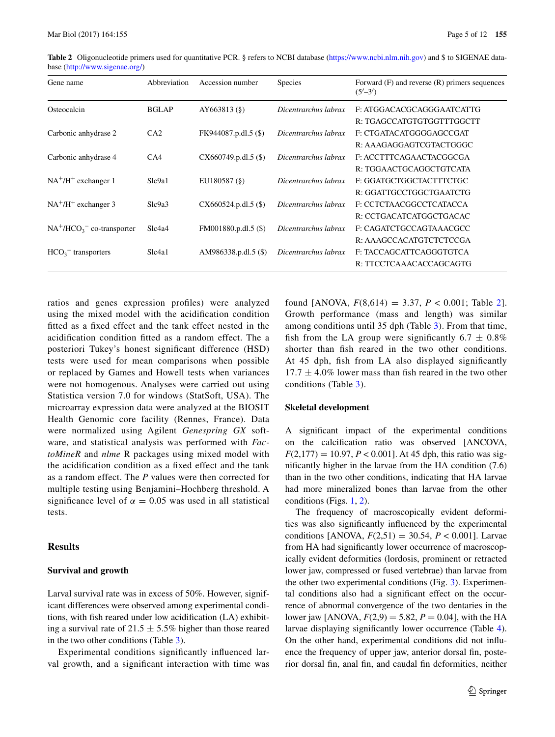| Gene name                     | Abbreviation | Accession number       | <b>Species</b>       | Forward $(F)$ and reverse $(R)$ primers sequences<br>(5'–3') |
|-------------------------------|--------------|------------------------|----------------------|--------------------------------------------------------------|
| Osteocalcin                   | <b>BGLAP</b> | AY663813 (§)           | Dicentrarchus labrax | F: ATGGACACGCAGGGAATCATTG                                    |
|                               |              |                        |                      | R: TGAGCCATGTGTGGTTTGGCTT                                    |
| Carbonic anhydrase 2          | CA2          | FK944087.p.dl.5 (\$)   | Dicentrarchus labrax | F: CTGATACATGGGGAGCCGAT                                      |
|                               |              |                        |                      | R: AAAGAGGAGTCGTACTGGGC                                      |
| Carbonic anhydrase 4          | CA4          | $CX660749.p.dl.5$ (\$) | Dicentrarchus labrax | F: ACCTTTCAGAACTACGGCGA                                      |
|                               |              |                        |                      | R: TGGAACTGCAGGCTGTCATA                                      |
| $NA^+/H^+$ exchanger 1        | Slc9a1       | EU180587 $(\S)$        | Dicentrarchus labrax | F: GGATGCTGGCTACTTTCTGC                                      |
|                               |              |                        |                      | R: GGATTGCCTGGCTGAATCTG                                      |
| $NA^+/H^+$ exchanger 3        | Slc9a3       | $CX660524.p.dl.5$ (\$) | Dicentrarchus labrax | F: CCTCTAACGGCCTCATACCA                                      |
|                               |              |                        |                      | R: CCTGACATCATGGCTGACAC                                      |
| $NA^+/HCO_3^-$ co-transporter | Slc4a4       | FM001880.p.dl.5 (\$)   | Dicentrarchus labrax | F: CAGATCTGCCAGTAAACGCC                                      |
|                               |              |                        |                      | R: AAAGCCACATGTCTCTCCGA                                      |
| $HCO3$ transporters           | Slc4a1       | AM986338.p.dl.5 (\$)   | Dicentrarchus labrax | F: TACCAGCATTCAGGGTGTCA                                      |
|                               |              |                        |                      | R: TTCCTCAAACACCAGCAGTG                                      |

<span id="page-4-0"></span>**Table 2** Oligonucleotide primers used for quantitative PCR. § refers to NCBI database [\(https://www.ncbi.nlm.nih.gov](https://www.ncbi.nlm.nih.gov)) and \$ to SIGENAE database [\(http://www.sigenae.org/\)](http://www.sigenae.org/)

ratios and genes expression profles) were analyzed using the mixed model with the acidifcation condition ftted as a fxed effect and the tank effect nested in the acidifcation condition ftted as a random effect. The a posteriori Tukey's honest signifcant difference (HSD) tests were used for mean comparisons when possible or replaced by Games and Howell tests when variances were not homogenous. Analyses were carried out using Statistica version 7.0 for windows (StatSoft, USA). The microarray expression data were analyzed at the BIOSIT Health Genomic core facility (Rennes, France). Data were normalized using Agilent *Genespring GX* software, and statistical analysis was performed with *FactoMineR* and *nlme* R packages using mixed model with the acidifcation condition as a fxed effect and the tank as a random effect. The *P* values were then corrected for multiple testing using Benjamini–Hochberg threshold. A significance level of  $\alpha = 0.05$  was used in all statistical tests.

## **Results**

## **Survival and growth**

Larval survival rate was in excess of 50%. However, significant differences were observed among experimental conditions, with fsh reared under low acidifcation (LA) exhibiting a survival rate of  $21.5 \pm 5.5\%$  higher than those reared in the two other conditions (Table [3](#page-5-0)).

Experimental conditions signifcantly infuenced larval growth, and a signifcant interaction with time was found [ANOVA,  $F(8,614) = 3.37$ ,  $P < 0.001$ ; Table [2](#page-4-0)]. Growth performance (mass and length) was similar among conditions until 35 dph (Table [3\)](#page-5-0). From that time, fish from the LA group were significantly  $6.7 \pm 0.8\%$ shorter than fsh reared in the two other conditions. At 45 dph, fsh from LA also displayed signifcantly  $17.7 \pm 4.0\%$  lower mass than fish reared in the two other conditions (Table [3\)](#page-5-0).

## **Skeletal development**

A signifcant impact of the experimental conditions on the calcifcation ratio was observed [ANCOVA,  $F(2,177) = 10.97$ ,  $P < 0.001$ ]. At 45 dph, this ratio was signifcantly higher in the larvae from the HA condition (7.6) than in the two other conditions, indicating that HA larvae had more mineralized bones than larvae from the other conditions (Figs. [1,](#page-5-1) [2\)](#page-5-2).

The frequency of macroscopically evident deformities was also signifcantly infuenced by the experimental conditions [ANOVA, *F*(2,51) = 30.54, *P* < 0.001]. Larvae from HA had signifcantly lower occurrence of macroscopically evident deformities (lordosis, prominent or retracted lower jaw, compressed or fused vertebrae) than larvae from the other two experimental conditions (Fig. [3](#page-6-0)). Experimental conditions also had a signifcant effect on the occurrence of abnormal convergence of the two dentaries in the lower jaw [ANOVA,  $F(2,9) = 5.82, P = 0.04$ ], with the HA larvae displaying signifcantly lower occurrence (Table [4](#page-6-1)). On the other hand, experimental conditions did not infuence the frequency of upper jaw, anterior dorsal fin, posterior dorsal fn, anal fn, and caudal fn deformities, neither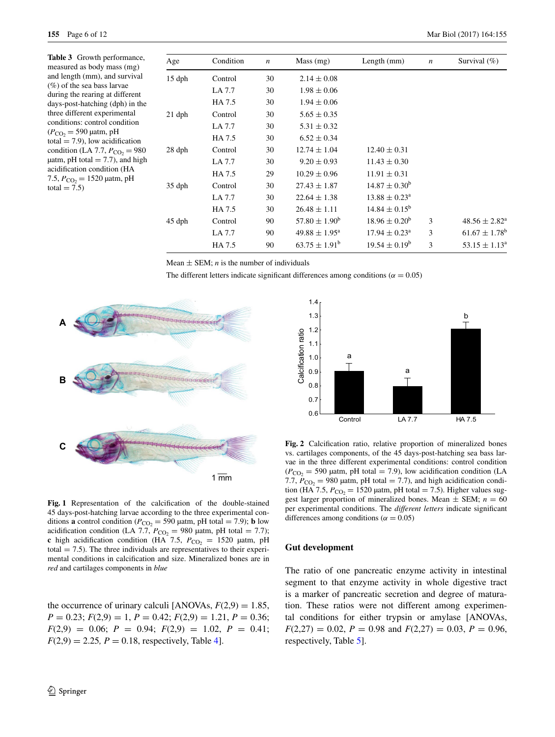<span id="page-5-0"></span>**Table 3** Growth performance, measured as body mass (mg) and length (mm), and survival (%) of the sea bass larvae during the rearing at different days-post-hatching (dph) in the three different experimental conditions: control condition  $(P_{CO_2} = 590 \mu$ atm, pH total  $= 7.9$ ), low acidification condition (LA 7.7,  $P_{CO_2} = 980$  $\mu$ atm, pH total = 7.7), and high acidifcation condition (HA 7.5,  $P_{CO_2} = 1520 \mu$ atm, pH  $total = 7.5$ 

| Age      | Condition | $\boldsymbol{n}$ | Mass (mg)                | Length $(mm)$            | $\boldsymbol{n}$ | Survival $(\%)$               |
|----------|-----------|------------------|--------------------------|--------------------------|------------------|-------------------------------|
| $15$ dph | Control   | 30               | $2.14 \pm 0.08$          |                          |                  |                               |
|          | LA 7.7    | 30               | $1.98 \pm 0.06$          |                          |                  |                               |
|          | HA 7.5    | 30               | $1.94 \pm 0.06$          |                          |                  |                               |
| $21$ dph | Control   | 30               | $5.65 \pm 0.35$          |                          |                  |                               |
|          | LA 7.7    | 30               | $5.31 \pm 0.32$          |                          |                  |                               |
|          | HA 7.5    | 30               | $6.52 \pm 0.34$          |                          |                  |                               |
| 28 dph   | Control   | 30               | $12.74 \pm 1.04$         | $12.40 \pm 0.31$         |                  |                               |
|          | LA 7.7    | 30               | $9.20 \pm 0.93$          | $11.43 \pm 0.30$         |                  |                               |
|          | HA 7.5    | 29               | $10.29 \pm 0.96$         | $11.91 \pm 0.31$         |                  |                               |
| 35 dph   | Control   | 30               | $27.43 \pm 1.87$         | $14.87 \pm 0.30^b$       |                  |                               |
|          | LA 7.7    | 30               | $22.64 \pm 1.38$         | $13.88 \pm 0.23^{\circ}$ |                  |                               |
|          | HA 7.5    | 30               | $26.48 \pm 1.11$         | $14.84 \pm 0.15^{\rm b}$ |                  |                               |
| 45 dph   | Control   | 90               | $57.80 \pm 1.90^b$       | $18.96 \pm 0.20^b$       | 3                | $48.56 \pm 2.82^{\circ}$      |
|          | LA 7.7    | 90               | $49.88 \pm 1.95^{\circ}$ | $17.94 \pm 0.23^{\circ}$ | 3                | $61.67 \pm 1.78$ <sup>b</sup> |
|          | HA 7.5    | 90               | $63.75 \pm 1.91^{\rm b}$ | $19.54 \pm 0.19^b$       | 3                | $53.15 \pm 1.13^a$            |
|          |           |                  |                          |                          |                  |                               |

Mean  $\pm$  SEM; *n* is the number of individuals

The different letters indicate significant differences among conditions ( $\alpha = 0.05$ )



<span id="page-5-1"></span>**Fig. 1** Representation of the calcifcation of the double-stained 45 days-post-hatching larvae according to the three experimental conditions **a** control condition ( $P_{CO_2}$  = 590 µatm, pH total = 7.9); **b** low acidification condition (LA 7.7,  $P_{CO_2} = 980$  µatm, pH total = 7.7); **c** high acidification condition (HA 7.5,  $P_{CO_2} = 1520$  µatm, pH total  $= 7.5$ ). The three individuals are representatives to their experimental conditions in calcifcation and size. Mineralized bones are in

*red* and cartilages components in *blue*



<span id="page-5-2"></span>**Fig. 2** Calcifcation ratio, relative proportion of mineralized bones vs. cartilages components, of the 45 days-post-hatching sea bass larvae in the three different experimental conditions: control condition  $(P_{CO_2} = 590 \text{ patm}, \text{pH total} = 7.9)$ , low acidification condition (LA 7.7,  $P_{CO_2}$  = 980 µatm, pH total = 7.7), and high acidification condition (HA 7.5,  $P_{CO_2} = 1520$  µatm, pH total = 7.5). Higher values suggest larger proportion of mineralized bones. Mean  $\pm$  SEM;  $n = 60$ per experimental conditions. The *different letters* indicate signifcant differences among conditions ( $\alpha = 0.05$ )

#### **Gut development**

the occurrence of urinary calculi [ANOVAs,  $F(2,9) = 1.85$ , *P* = 0.23; *F*(2,9) = 1, *P* = 0.42; *F*(2,9) = 1.21, *P* = 0.36;  $F(2,9) = 0.06$ ;  $P = 0.94$ ;  $F(2,9) = 1.02$ ,  $P = 0.41$ ;  $F(2,9) = 2.25$ ,  $P = 0.18$ , respectively, Table 4.

The ratio of one pancreatic enzyme activity in intestinal segment to that enzyme activity in whole digestive tract is a marker of pancreatic secretion and degree of maturation. These ratios were not different among experimental conditions for either trypsin or amylase [ANOVAs,  $F(2,27) = 0.02, P = 0.98$  and  $F(2,27) = 0.03, P = 0.96$ , respectively, Table [5\]](#page-6-2).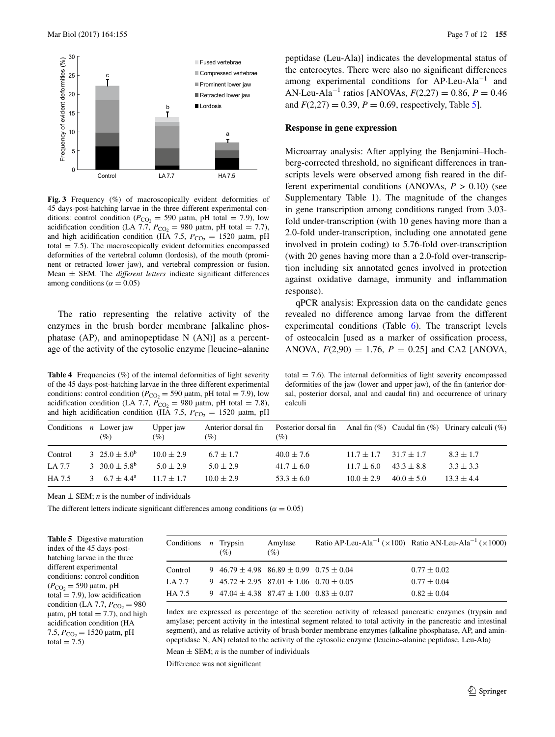

<span id="page-6-0"></span>**Fig. 3** Frequency (%) of macroscopically evident deformities of 45 days-post-hatching larvae in the three different experimental conditions: control condition ( $P_{CO_2} = 590$  µatm, pH total = 7.9), low acidification condition (LA 7.7,  $P_{CO_2} = 980$  µatm, pH total = 7.7), and high acidification condition (HA 7.5,  $P_{CO_2} = 1520$  µatm, pH total = 7.5). The macroscopically evident deformities encompassed deformities of the vertebral column (lordosis), of the mouth (prominent or retracted lower jaw), and vertebral compression or fusion. Mean  $\pm$  SEM. The *different letters* indicate significant differences among conditions ( $\alpha = 0.05$ )

The ratio representing the relative activity of the enzymes in the brush border membrane [alkaline phosphatase (AP), and aminopeptidase N (AN)] as a percentage of the activity of the cytosolic enzyme [leucine–alanine

<span id="page-6-1"></span>**Table 4** Frequencies (%) of the internal deformities of light severity of the 45 days-post-hatching larvae in the three different experimental conditions: control condition ( $P_{CO_2}$  = 590 µatm, pH total = 7.9), low acidification condition (LA 7.7,  $P_{CO_2} = 980$  µatm, pH total = 7.8), and high acidification condition (HA 7.5,  $P_{CO_2} = 1520$  µatm, pH

peptidase (Leu-Ala)] indicates the developmental status of the enterocytes. There were also no signifcant differences among experimental conditions for  $AP$ -Leu-Ala<sup>-1</sup> and AN·Leu-Ala<sup>-1</sup> ratios [ANOVAs,  $F(2,27) = 0.86$ ,  $P = 0.46$ and  $F(2,27) = 0.39$ ,  $P = 0.69$ , respectively, Table 5.

#### **Response in gene expression**

Microarray analysis: After applying the Benjamini–Hochberg-corrected threshold, no signifcant differences in transcripts levels were observed among fsh reared in the different experimental conditions (ANOVAs, *P* > 0.10) (see Supplementary Table 1). The magnitude of the changes in gene transcription among conditions ranged from 3.03 fold under-transcription (with 10 genes having more than a 2.0-fold under-transcription, including one annotated gene involved in protein coding) to 5.76-fold over-transcription (with 20 genes having more than a 2.0-fold over-transcription including six annotated genes involved in protection against oxidative damage, immunity and infammation response).

qPCR analysis: Expression data on the candidate genes revealed no difference among larvae from the different experimental conditions (Table [6](#page-7-0)). The transcript levels of osteocalcin [used as a marker of ossifcation process, ANOVA,  $F(2,90) = 1.76$ ,  $P = 0.25$ ] and CA2 [ANOVA,

total  $= 7.6$ ). The internal deformities of light severity encompassed deformities of the jaw (lower and upper jaw), of the fin (anterior dorsal, posterior dorsal, anal and caudal fn) and occurrence of urinary calculi

|         | Conditions $n$ Lower jaw<br>(%) | Upper jaw<br>(%) | Anterior dorsal fin<br>(%) | Posterior dorsal fin Anal fin $(\%)$ Caudal fin $(\%)$ Urinary calculi $(\%)$<br>(%) |                |                |                |
|---------|---------------------------------|------------------|----------------------------|--------------------------------------------------------------------------------------|----------------|----------------|----------------|
| Control | 3 25.0 $\pm$ 5.0 <sup>b</sup>   | $10.0 \pm 2.9$   | $6.7 \pm 1.7$              | $40.0 \pm 7.6$                                                                       | $11.7 \pm 1.7$ | $31.7 \pm 1.7$ | $8.3 \pm 1.7$  |
| LA 7.7  | 3 30.0 $\pm$ 5.8 <sup>b</sup>   | $5.0 \pm 2.9$    | $5.0 \pm 2.9$              | $41.7 \pm 6.0$                                                                       | $11.7 \pm 6.0$ | $43.3 \pm 8.8$ | $3.3 \pm 3.3$  |
| HA 7.5  | 3 $6.7 \pm 4.4^{\circ}$         | $11.7 \pm 1.7$   | $10.0 \pm 2.9$             | $53.3 \pm 6.0$                                                                       | $10.0 \pm 2.9$ | $40.0 \pm 5.0$ | $13.3 \pm 4.4$ |

Mean  $\pm$  SEM; *n* is the number of individuals

The different letters indicate significant differences among conditions ( $\alpha = 0.05$ )

<span id="page-6-2"></span>**Table 5** Digestive maturation index of the 45 days-posthatching larvae in the three different experimental conditions: control condition  $(P_{CO_2} = 590 \mu atm, pH$ total  $= 7.9$ ), low acidification condition (LA 7.7,  $P_{CO_2} = 980$  $\mu$ atm, pH total = 7.7), and high acidifcation condition (HA 7.5,  $P_{CO_2}$  = 1520 µatm, pH total  $= 7.5$ )

| Conditions $n$ Trypsin | (%) | Amylase<br>(%)                                      | Ratio AP-Leu-Ala <sup>-1</sup> ( $\times$ 100) Ratio AN-Leu-Ala <sup>-1</sup> ( $\times$ 1000) |
|------------------------|-----|-----------------------------------------------------|------------------------------------------------------------------------------------------------|
| Control                |     | 9 $46.79 \pm 4.98$ $86.89 \pm 0.99$ $0.75 \pm 0.04$ | $0.77 \pm 0.02$                                                                                |
| LA 7.7                 |     | 9 $45.72 \pm 2.95$ $87.01 \pm 1.06$ $0.70 \pm 0.05$ | $0.77 \pm 0.04$                                                                                |
| HA 7.5                 |     | 9 47.04 $\pm$ 4.38 87.47 $\pm$ 1.00 0.83 $\pm$ 0.07 | $0.82 \pm 0.04$                                                                                |

Index are expressed as percentage of the secretion activity of released pancreatic enzymes (trypsin and amylase; percent activity in the intestinal segment related to total activity in the pancreatic and intestinal segment), and as relative activity of brush border membrane enzymes (alkaline phosphatase, AP, and aminopeptidase N, AN) related to the activity of the cytosolic enzyme (leucine–alanine peptidase, Leu-Ala)

Mean  $\pm$  SEM; *n* is the number of individuals

Difference was not signifcant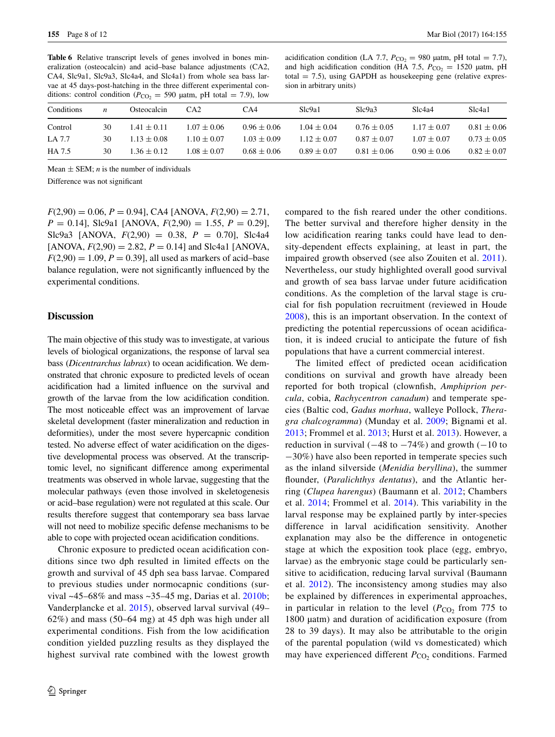<span id="page-7-0"></span>

| <b>Table 6</b> Relative transcript levels of genes involved in bones min- |
|---------------------------------------------------------------------------|
| eralization (osteocalcin) and acid-base balance adjustments (CA2,         |
| CA4, Slc9a1, Slc9a3, Slc4a4, and Slc4a1) from whole sea bass lar-         |
| vae at 45 days-post-hatching in the three different experimental con-     |
| ditions: control condition ( $P_{CO_2} = 590$ µatm, pH total = 7.9), low  |
|                                                                           |

acidification condition (LA 7.7,  $P_{CO_2} = 980$  µatm, pH total = 7.7), and high acidification condition (HA 7.5,  $P_{CO_2} = 1520$  µatm, pH total  $= 7.5$ ), using GAPDH as housekeeping gene (relative expression in arbitrary units)

| Conditions | n  | Osteocalcin     | CA2             | CA4             | Slc9a1          | Slc9a3          | Slc4a4          | Slc4a1          |
|------------|----|-----------------|-----------------|-----------------|-----------------|-----------------|-----------------|-----------------|
| Control    | 30 | $1.41 \pm 0.11$ | $1.07 \pm 0.06$ | $0.96 \pm 0.06$ | $1.04 \pm 0.04$ | $0.76 \pm 0.05$ | $1.17 \pm 0.07$ | $0.81 \pm 0.06$ |
| LA 7.7     | 30 | $1.13 \pm 0.08$ | $1.10 \pm 0.07$ | $1.03 \pm 0.09$ | $1.12 \pm 0.07$ | $0.87 \pm 0.07$ | $1.07 \pm 0.07$ | $0.73 \pm 0.05$ |
| HA 7.5     | 30 | $1.36 + 0.12$   | $1.08 \pm 0.07$ | $0.68 \pm 0.06$ | $0.89 \pm 0.07$ | $0.81 \pm 0.06$ | $0.90 \pm 0.06$ | $0.82 \pm 0.07$ |

Mean  $\pm$  SEM; *n* is the number of individuals

Difference was not signifcant

 $F(2,90) = 0.06, P = 0.94$ , CA4 [ANOVA,  $F(2,90) = 2.71$ ,  $P = 0.14$ ], Slc9a1 [ANOVA,  $F(2,90) = 1.55$ ,  $P = 0.29$ ], Slc9a3 [ANOVA,  $F(2,90) = 0.38$ ,  $P = 0.70$ ], Slc4a4  $[ANOVA, F(2,90) = 2.82, P = 0.14]$  and Slc4a1  $[ANOVA, P(0,90) = 2.82, P = 0.14]$  $F(2,90) = 1.09, P = 0.39$ , all used as markers of acid-base balance regulation, were not signifcantly infuenced by the experimental conditions.

### **Discussion**

The main objective of this study was to investigate, at various levels of biological organizations, the response of larval sea bass (*Dicentrarchus labrax*) to ocean acidifcation. We demonstrated that chronic exposure to predicted levels of ocean acidifcation had a limited infuence on the survival and growth of the larvae from the low acidifcation condition. The most noticeable effect was an improvement of larvae skeletal development (faster mineralization and reduction in deformities), under the most severe hypercapnic condition tested. No adverse effect of water acidifcation on the digestive developmental process was observed. At the transcriptomic level, no signifcant difference among experimental treatments was observed in whole larvae, suggesting that the molecular pathways (even those involved in skeletogenesis or acid–base regulation) were not regulated at this scale. Our results therefore suggest that contemporary sea bass larvae will not need to mobilize specifc defense mechanisms to be able to cope with projected ocean acidifcation conditions.

Chronic exposure to predicted ocean acidifcation conditions since two dph resulted in limited effects on the growth and survival of 45 dph sea bass larvae. Compared to previous studies under normocapnic conditions (survival  $\approx$ 45–68% and mass  $\approx$ 35–45 mg, Darias et al. [2010b](#page-10-18); Vanderplancke et al. [2015](#page-11-10)), observed larval survival (49– 62%) and mass (50–64 mg) at 45 dph was high under all experimental conditions. Fish from the low acidifcation condition yielded puzzling results as they displayed the highest survival rate combined with the lowest growth compared to the fsh reared under the other conditions. The better survival and therefore higher density in the low acidifcation rearing tanks could have lead to density-dependent effects explaining, at least in part, the impaired growth observed (see also Zouiten et al. [2011](#page-11-24)). Nevertheless, our study highlighted overall good survival and growth of sea bass larvae under future acidifcation conditions. As the completion of the larval stage is crucial for fsh population recruitment (reviewed in Houde [2008\)](#page-10-9), this is an important observation. In the context of predicting the potential repercussions of ocean acidifcation, it is indeed crucial to anticipate the future of fsh populations that have a current commercial interest.

The limited effect of predicted ocean acidifcation conditions on survival and growth have already been reported for both tropical (clownfsh, *Amphiprion percula*, cobia, *Rachycentron canadum*) and temperate species (Baltic cod, *Gadus morhua*, walleye Pollock, *Theragra chalcogramma*) (Munday et al. [2009](#page-11-25); Bignami et al. [2013;](#page-10-19) Frommel et al. [2013](#page-10-20); Hurst et al. [2013](#page-10-21)). However, a reduction in survival ( $-48$  to  $-74\%$ ) and growth ( $-10$  to −30%) have also been reported in temperate species such as the inland silverside (*Menidia beryllina*), the summer founder, (*Paralichthys dentatus*), and the Atlantic herring (*Clupea harengus*) (Baumann et al. [2012;](#page-10-5) Chambers et al. [2014](#page-10-22); Frommel et al. [2014](#page-10-7)). This variability in the larval response may be explained partly by inter-species difference in larval acidifcation sensitivity. Another explanation may also be the difference in ontogenetic stage at which the exposition took place (egg, embryo, larvae) as the embryonic stage could be particularly sensitive to acidifcation, reducing larval survival (Baumann et al. [2012](#page-10-5)). The inconsistency among studies may also be explained by differences in experimental approaches, in particular in relation to the level  $(P_{CO_2})$  from 775 to 1800 µatm) and duration of acidifcation exposure (from 28 to 39 days). It may also be attributable to the origin of the parental population (wild vs domesticated) which may have experienced different  $P_{\text{CO}_2}$  conditions. Farmed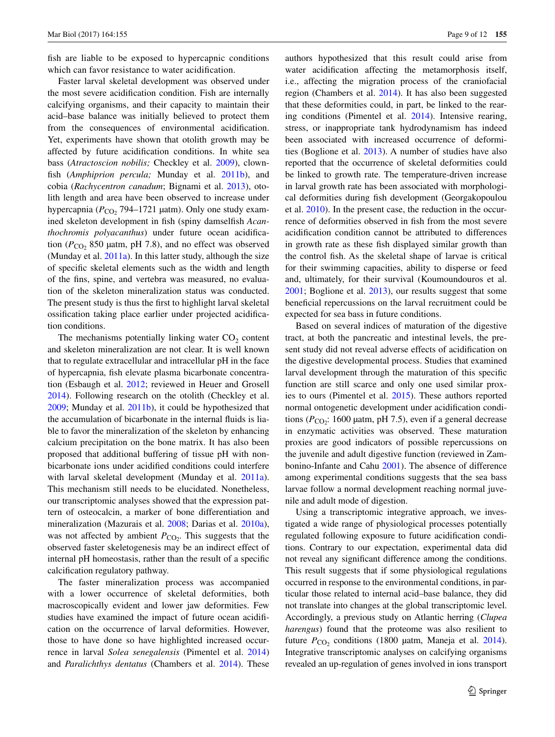fish are liable to be exposed to hypercapnic conditions which can favor resistance to water acidifcation.

Faster larval skeletal development was observed under the most severe acidifcation condition. Fish are internally calcifying organisms, and their capacity to maintain their acid–base balance was initially believed to protect them from the consequences of environmental acidifcation. Yet, experiments have shown that otolith growth may be affected by future acidifcation conditions. In white sea bass (*Atractoscion nobilis;* Checkley et al. [2009\)](#page-10-23), clownfsh (*Amphiprion percula;* Munday et al. [2011b\)](#page-11-26), and cobia (*Rachycentron canadum*; Bignami et al. [2013\)](#page-10-19), otolith length and area have been observed to increase under hypercapnia ( $P_{CO_2}$  794–1721 µatm). Only one study examined skeleton development in fsh (spiny damselfsh *Acanthochromis polyacanthus*) under future ocean acidifcation  $(P_{CO_2}$  850 µatm, pH 7.8), and no effect was observed (Munday et al. [2011a](#page-11-12)). In this latter study, although the size of specifc skeletal elements such as the width and length of the fns, spine, and vertebra was measured, no evaluation of the skeleton mineralization status was conducted. The present study is thus the frst to highlight larval skeletal ossifcation taking place earlier under projected acidifcation conditions.

The mechanisms potentially linking water  $CO<sub>2</sub>$  content and skeleton mineralization are not clear. It is well known that to regulate extracellular and intracellular pH in the face of hypercapnia, fsh elevate plasma bicarbonate concentration (Esbaugh et al. [2012;](#page-10-24) reviewed in Heuer and Grosell [2014](#page-10-4)). Following research on the otolith (Checkley et al. [2009](#page-10-23); Munday et al. [2011b](#page-11-26)), it could be hypothesized that the accumulation of bicarbonate in the internal fuids is liable to favor the mineralization of the skeleton by enhancing calcium precipitation on the bone matrix. It has also been proposed that additional buffering of tissue pH with nonbicarbonate ions under acidifed conditions could interfere with larval skeletal development (Munday et al. [2011a](#page-11-12)). This mechanism still needs to be elucidated. Nonetheless, our transcriptomic analyses showed that the expression pattern of osteocalcin, a marker of bone differentiation and mineralization (Mazurais et al. [2008;](#page-11-27) Darias et al. [2010a](#page-10-12)), was not affected by ambient  $P_{CO_2}$ . This suggests that the observed faster skeletogenesis may be an indirect effect of internal pH homeostasis, rather than the result of a specifc calcifcation regulatory pathway.

The faster mineralization process was accompanied with a lower occurrence of skeletal deformities, both macroscopically evident and lower jaw deformities. Few studies have examined the impact of future ocean acidifcation on the occurrence of larval deformities. However, those to have done so have highlighted increased occurrence in larval *Solea senegalensis* (Pimentel et al. [2014\)](#page-11-11) and *Paralichthys dentatus* (Chambers et al. [2014](#page-10-22)). These authors hypothesized that this result could arise from water acidifcation affecting the metamorphosis itself, i.e., affecting the migration process of the craniofacial region (Chambers et al. [2014\)](#page-10-22). It has also been suggested that these deformities could, in part, be linked to the rearing conditions (Pimentel et al. [2014](#page-11-11)). Intensive rearing, stress, or inappropriate tank hydrodynamism has indeed been associated with increased occurrence of deformities (Boglione et al. [2013](#page-10-8)). A number of studies have also reported that the occurrence of skeletal deformities could be linked to growth rate. The temperature-driven increase in larval growth rate has been associated with morphological deformities during fsh development (Georgakopoulou et al. [2010\)](#page-10-25). In the present case, the reduction in the occurrence of deformities observed in fsh from the most severe acidifcation condition cannot be attributed to differences in growth rate as these fsh displayed similar growth than the control fsh. As the skeletal shape of larvae is critical for their swimming capacities, ability to disperse or feed and, ultimately, for their survival (Koumoundouros et al. [2001](#page-10-26); Boglione et al. [2013](#page-10-8)), our results suggest that some benefcial repercussions on the larval recruitment could be expected for sea bass in future conditions.

Based on several indices of maturation of the digestive tract, at both the pancreatic and intestinal levels, the present study did not reveal adverse effects of acidifcation on the digestive developmental process. Studies that examined larval development through the maturation of this specifc function are still scarce and only one used similar proxies to ours (Pimentel et al. [2015\)](#page-11-13). These authors reported normal ontogenetic development under acidifcation conditions ( $P_{CO_2}$ : 1600 µatm, pH 7.5), even if a general decrease in enzymatic activities was observed. These maturation proxies are good indicators of possible repercussions on the juvenile and adult digestive function (reviewed in Zambonino-Infante and Cahu [2001](#page-11-5)). The absence of difference among experimental conditions suggests that the sea bass larvae follow a normal development reaching normal juvenile and adult mode of digestion.

Using a transcriptomic integrative approach, we investigated a wide range of physiological processes potentially regulated following exposure to future acidifcation conditions. Contrary to our expectation, experimental data did not reveal any signifcant difference among the conditions. This result suggests that if some physiological regulations occurred in response to the environmental conditions, in particular those related to internal acid–base balance, they did not translate into changes at the global transcriptomic level. Accordingly, a previous study on Atlantic herring (*Clupea harengus*) found that the proteome was also resilient to future  $P_{CO_2}$  conditions (1800 µatm, Maneja et al. [2014](#page-11-14)). Integrative transcriptomic analyses on calcifying organisms revealed an up-regulation of genes involved in ions transport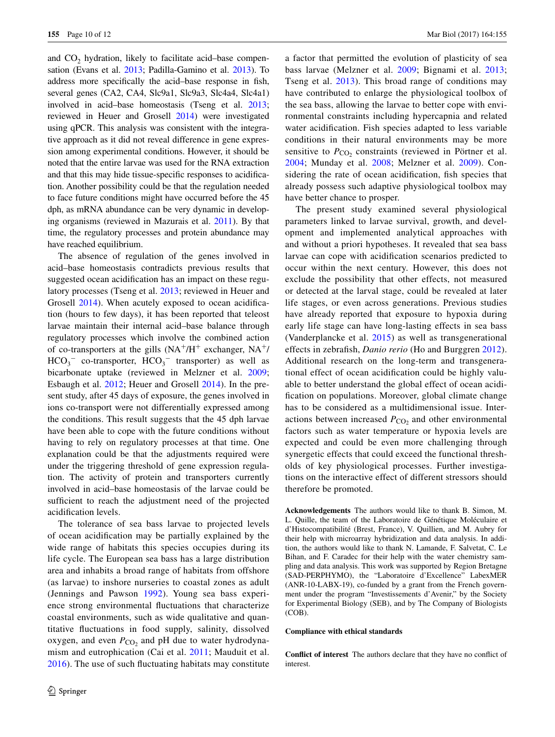and  $CO<sub>2</sub>$  hydration, likely to facilitate acid–base compensation (Evans et al. [2013](#page-10-27); Padilla-Gamino et al. [2013\)](#page-11-28). To address more specifcally the acid–base response in fsh, several genes (CA2, CA4, Slc9a1, Slc9a3, Slc4a4, Slc4a1) involved in acid–base homeostasis (Tseng et al. [2013](#page-11-4); reviewed in Heuer and Grosell [2014\)](#page-10-4) were investigated using qPCR. This analysis was consistent with the integrative approach as it did not reveal difference in gene expression among experimental conditions. However, it should be noted that the entire larvae was used for the RNA extraction and that this may hide tissue-specifc responses to acidifcation. Another possibility could be that the regulation needed to face future conditions might have occurred before the 45 dph, as mRNA abundance can be very dynamic in developing organisms (reviewed in Mazurais et al. [2011\)](#page-11-29). By that time, the regulatory processes and protein abundance may have reached equilibrium.

The absence of regulation of the genes involved in acid–base homeostasis contradicts previous results that suggested ocean acidifcation has an impact on these regulatory processes (Tseng et al. [2013](#page-11-4); reviewed in Heuer and Grosell [2014\)](#page-10-4). When acutely exposed to ocean acidifcation (hours to few days), it has been reported that teleost larvae maintain their internal acid–base balance through regulatory processes which involve the combined action of co-transporters at the gills  $(NA^+/H^+$  exchanger,  $NA^+/$  $HCO<sub>3</sub><sup>-</sup>$  co-transporter,  $HCO<sub>3</sub><sup>-</sup>$  transporter) as well as bicarbonate uptake (reviewed in Melzner et al. [2009](#page-11-2); Esbaugh et al. [2012](#page-10-24); Heuer and Grosell [2014\)](#page-10-4). In the present study, after 45 days of exposure, the genes involved in ions co-transport were not differentially expressed among the conditions. This result suggests that the 45 dph larvae have been able to cope with the future conditions without having to rely on regulatory processes at that time. One explanation could be that the adjustments required were under the triggering threshold of gene expression regulation. The activity of protein and transporters currently involved in acid–base homeostasis of the larvae could be sufficient to reach the adjustment need of the projected acidifcation levels.

The tolerance of sea bass larvae to projected levels of ocean acidifcation may be partially explained by the wide range of habitats this species occupies during its life cycle. The European sea bass has a large distribution area and inhabits a broad range of habitats from offshore (as larvae) to inshore nurseries to coastal zones as adult (Jennings and Pawson [1992\)](#page-10-28). Young sea bass experience strong environmental fuctuations that characterize coastal environments, such as wide qualitative and quantitative fuctuations in food supply, salinity, dissolved oxygen, and even  $P_{CO_2}$  and pH due to water hydrodynamism and eutrophication (Cai et al. [2011](#page-10-29); Mauduit et al. [2016\)](#page-11-30). The use of such fuctuating habitats may constitute a factor that permitted the evolution of plasticity of sea bass larvae (Melzner et al. [2009](#page-11-2); Bignami et al. [2013](#page-10-19); Tseng et al. [2013](#page-11-4)). This broad range of conditions may have contributed to enlarge the physiological toolbox of the sea bass, allowing the larvae to better cope with environmental constraints including hypercapnia and related water acidifcation. Fish species adapted to less variable conditions in their natural environments may be more sensitive to  $P_{CO_2}$  constraints (reviewed in Pörtner et al. [2004;](#page-11-3) Munday et al. [2008;](#page-11-31) Melzner et al. [2009](#page-11-2)). Considering the rate of ocean acidification, fish species that already possess such adaptive physiological toolbox may have better chance to prosper.

The present study examined several physiological parameters linked to larvae survival, growth, and development and implemented analytical approaches with and without a priori hypotheses. It revealed that sea bass larvae can cope with acidifcation scenarios predicted to occur within the next century. However, this does not exclude the possibility that other effects, not measured or detected at the larval stage, could be revealed at later life stages, or even across generations. Previous studies have already reported that exposure to hypoxia during early life stage can have long-lasting effects in sea bass (Vanderplancke et al. [2015\)](#page-11-10) as well as transgenerational effects in zebrafsh, *Danio rerio* (Ho and Burggren [2012](#page-10-30)). Additional research on the long-term and transgenerational effect of ocean acidifcation could be highly valuable to better understand the global effect of ocean acidifcation on populations. Moreover, global climate change has to be considered as a multidimensional issue. Interactions between increased  $P_{CO_2}$  and other environmental factors such as water temperature or hypoxia levels are expected and could be even more challenging through synergetic effects that could exceed the functional thresholds of key physiological processes. Further investigations on the interactive effect of different stressors should therefore be promoted.

**Acknowledgements** The authors would like to thank B. Simon, M. L. Quille, the team of the Laboratoire de Génétique Moléculaire et d'Histocompatibilité (Brest, France), V. Quillien, and M. Aubry for their help with microarray hybridization and data analysis. In addition, the authors would like to thank N. Lamande, F. Salvetat, C. Le Bihan, and F. Caradec for their help with the water chemistry sampling and data analysis. This work was supported by Region Bretagne (SAD-PERPHYMO), the "Laboratoire d'Excellence" LabexMER (ANR-10-LABX-19), co-funded by a grant from the French government under the program "Investissements d'Avenir," by the Society for Experimental Biology (SEB), and by The Company of Biologists (COB).

#### **Compliance with ethical standards**

**Confict of interest** The authors declare that they have no confict of interest.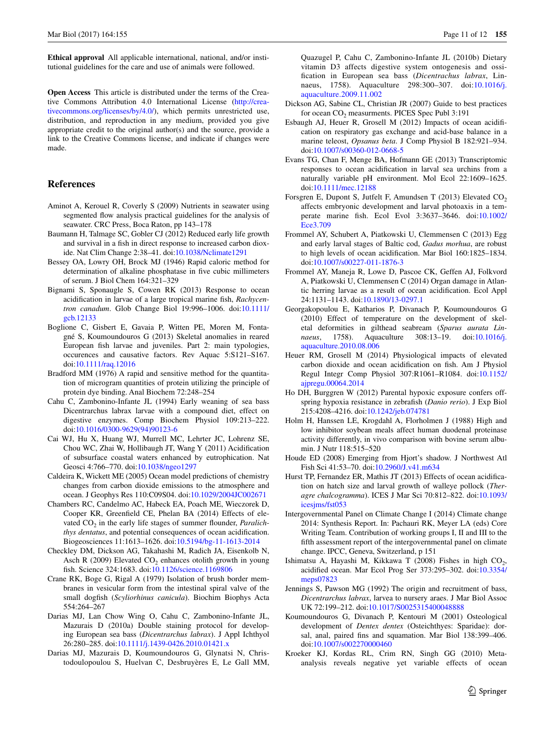**Ethical approval** All applicable international, national, and/or institutional guidelines for the care and use of animals were followed.

**Open Access** This article is distributed under the terms of the Creative Commons Attribution 4.0 International License ([http://crea](http://creativecommons.org/licenses/by/4.0/)[tivecommons.org/licenses/by/4.0/](http://creativecommons.org/licenses/by/4.0/)), which permits unrestricted use, distribution, and reproduction in any medium, provided you give appropriate credit to the original author(s) and the source, provide a link to the Creative Commons license, and indicate if changes were made.

## **References**

- <span id="page-10-11"></span>Aminot A, Kerouel R, Coverly S (2009) Nutrients in seawater using segmented fow analysis practical guidelines for the analysis of seawater. CRC Press, Boca Raton, pp 143–178
- <span id="page-10-5"></span>Baumann H, Talmage SC, Gobler CJ (2012) Reduced early life growth and survival in a fsh in direct response to increased carbon dioxide. Nat Clim Change 2:38–41. doi[:10.1038/Nclimate1291](http://dx.doi.org/10.1038/Nclimate1291)
- <span id="page-10-16"></span>Bessey OA, Lowry OH, Brock MJ (1946) Rapid caloric method for determination of alkaline phosphatase in fve cubic millimeters of serum. J Biol Chem 164:321–329
- <span id="page-10-19"></span>Bignami S, Sponaugle S, Cowen RK (2013) Response to ocean acidifcation in larvae of a large tropical marine fsh, *Rachycentron canadum*. Glob Change Biol 19:996–1006. doi[:10.1111/](http://dx.doi.org/10.1111/gcb.12133) [gcb.12133](http://dx.doi.org/10.1111/gcb.12133)
- <span id="page-10-8"></span>Boglione C, Gisbert E, Gavaia P, Witten PE, Moren M, Fontagné S, Koumoundouros G (2013) Skeletal anomalies in reared European fsh larvae and juveniles. Part 2: main typologies, occurences and causative factors. Rev Aquac 5:S121–S167. doi[:10.1111/raq.12016](http://dx.doi.org/10.1111/raq.12016)
- <span id="page-10-17"></span>Bradford MM (1976) A rapid and sensitive method for the quantitation of microgram quantities of protein utilizing the principle of protein dye binding. Anal Biochem 72:248–254
- <span id="page-10-13"></span>Cahu C, Zambonino-Infante JL (1994) Early weaning of sea bass Dicentrarchus labrax larvae with a compound diet, effect on digestive enzymes. Comp Biochem Physiol 109:213–222. doi[:10.1016/0300-9629\(94\)90123-6](http://dx.doi.org/10.1016/0300-9629(94)90123-6)
- <span id="page-10-29"></span>Cai WJ, Hu X, Huang WJ, Murrell MC, Lehrter JC, Lohrenz SE, Chou WC, Zhai W, Hollibaugh JT, Wang Y (2011) Acidifcation of subsurface coastal waters enhanced by eutrophication. Nat Geosci 4:766–770. doi:[10.1038/ngeo1297](http://dx.doi.org/10.1038/ngeo1297)
- <span id="page-10-1"></span>Caldeira K, Wickett ME (2005) Ocean model predictions of chemistry changes from carbon dioxide emissions to the atmosphere and ocean. J Geophys Res 110:C09S04. doi:[10.1029/2004JC002671](http://dx.doi.org/10.1029/2004JC002671)
- <span id="page-10-22"></span>Chambers RC, Candelmo AC, Habeck EA, Poach ME, Wieczorek D, Cooper KR, Greenfeld CE, Phelan BA (2014) Effects of elevated CO<sub>2</sub> in the early life stages of summer flounder, *Paralichthys dentatus*, and potential consequences of ocean acidifcation. Biogeosciences 11:1613–1626. doi:[10.5194/bg-11-1613-2014](http://dx.doi.org/10.5194/bg-11-1613-2014)
- <span id="page-10-23"></span>Checkley DM, Dickson AG, Takahashi M, Radich JA, Eisenkolb N, Asch R (2009) Elevated  $CO<sub>2</sub>$  enhances otolith growth in young fsh. Science 324:1683. doi:[10.1126/science.1169806](http://dx.doi.org/10.1126/science.1169806)
- <span id="page-10-15"></span>Crane RK, Boge G, Rigal A (1979) Isolation of brush border membranes in vesicular form from the intestinal spiral valve of the small dogfsh (*Scyliorhinus canicula*). Biochim Biophys Acta 554:264–267
- <span id="page-10-12"></span>Darias MJ, Lan Chow Wing O, Cahu C, Zambonino-Infante JL, Mazurais D (2010a) Double staining protocol for developing European sea bass (*Dicentrarchus labrax*). J Appl Ichthyol 26:280–285. doi[:10.1111/j.1439-0426.2010.01421.x](http://dx.doi.org/10.1111/j.1439-0426.2010.01421.x)
- <span id="page-10-18"></span>Darias MJ, Mazurais D, Koumoundouros G, Glynatsi N, Christodoulopoulou S, Huelvan C, Desbruyères E, Le Gall MM,

Quazugel P, Cahu C, Zambonino-Infante JL (2010b) Dietary vitamin D3 affects digestive system ontogenesis and ossifcation in European sea bass (*Dicentrachus labrax*, Linnaeus, 1758). Aquaculture 298:300–307. doi:[10.1016/j.](http://dx.doi.org/10.1016/j.aquaculture.2009.11.002) [aquaculture.2009.11.002](http://dx.doi.org/10.1016/j.aquaculture.2009.11.002)

- <span id="page-10-10"></span>Dickson AG, Sabine CL, Christian JR (2007) Guide to best practices for ocean CO<sub>2</sub> measurments. PICES Spec Publ 3:191
- <span id="page-10-24"></span>Esbaugh AJ, Heuer R, Grosell M (2012) Impacts of ocean acidifcation on respiratory gas exchange and acid-base balance in a marine teleost, *Opsanus beta*. J Comp Physiol B 182:921–934. doi[:10.1007/s00360-012-0668-5](http://dx.doi.org/10.1007/s00360-012-0668-5)
- <span id="page-10-27"></span>Evans TG, Chan F, Menge BA, Hofmann GE (2013) Transcriptomic responses to ocean acidifcation in larval sea urchins from a naturally variable pH environment. Mol Ecol 22:1609–1625. doi[:10.1111/mec.12188](http://dx.doi.org/10.1111/mec.12188)
- <span id="page-10-6"></span>Forsgren E, Dupont S, Jutfelt F, Amundsen T (2013) Elevated CO<sub>2</sub> affects embryonic development and larval photoaxis in a temperate marine fsh. Ecol Evol 3:3637–3646. doi:[10.1002/](http://dx.doi.org/10.1002/Ece3.709) [Ece3.709](http://dx.doi.org/10.1002/Ece3.709)
- <span id="page-10-20"></span>Frommel AY, Schubert A, Piatkowski U, Clemmensen C (2013) Egg and early larval stages of Baltic cod, *Gadus morhua*, are robust to high levels of ocean acidifcation. Mar Biol 160:1825–1834. doi[:10.1007/s00227-011-1876-3](http://dx.doi.org/10.1007/s00227-011-1876-3)
- <span id="page-10-7"></span>Frommel AY, Maneja R, Lowe D, Pascoe CK, Geffen AJ, Folkvord A, Piatkowski U, Clemmensen C (2014) Organ damage in Atlantic herring larvae as a result of ocean acidifcation. Ecol Appl 24:1131–1143. doi:[10.1890/13-0297.1](http://dx.doi.org/10.1890/13-0297.1)
- <span id="page-10-25"></span>Georgakopoulou E, Katharios P, Divanach P, Koumoundouros G (2010) Effect of temperature on the development of skeletal deformities in gilthead seabream (*Sparus aurata Linnaeus*, 1758). Aquaculture 308:13–19. doi:[10.1016/j.](http://dx.doi.org/10.1016/j.aquaculture.2010.08.006) [aquaculture.2010.08.006](http://dx.doi.org/10.1016/j.aquaculture.2010.08.006)
- <span id="page-10-4"></span>Heuer RM, Grosell M (2014) Physiological impacts of elevated carbon dioxide and ocean acidifcation on fsh. Am J Physiol Regul Integr Comp Physiol 307:R1061–R1084. doi[:10.1152/](http://dx.doi.org/10.1152/ajpregu.00064.2014) [ajpregu.00064.2014](http://dx.doi.org/10.1152/ajpregu.00064.2014)
- <span id="page-10-30"></span>Ho DH, Burggren W (2012) Parental hypoxic exposure confers offspring hypoxia resistance in zebrafsh (*Danio rerio*). J Exp Biol 215:4208–4216. doi:[10.1242/jeb.074781](http://dx.doi.org/10.1242/jeb.074781)
- <span id="page-10-14"></span>Holm H, Hanssen LE, Krogdahl A, Florholmen J (1988) High and low inhibitor soybean meals affect human duodenal proteinase activity differently, in vivo comparison with bovine serum albumin. J Nutr 118:515–520
- <span id="page-10-9"></span>Houde ED (2008) Emerging from Hjort's shadow. J Northwest Atl Fish Sci 41:53–70. doi[:10.2960/J.v41.m634](http://dx.doi.org/10.2960/J.v41.m634)
- <span id="page-10-21"></span>Hurst TP, Fernandez ER, Mathis JT (2013) Effects of ocean acidifcation on hatch size and larval growth of walleye pollock (*Theragre chalcogramma*). ICES J Mar Sci 70:812–822. doi[:10.1093/](http://dx.doi.org/10.1093/icesjms/fst053) icesims/fst053
- <span id="page-10-0"></span>Intergovernmental Panel on Climate Change I (2014) Climate change 2014: Synthesis Report. In: Pachauri RK, Meyer LA (eds) Core Writing Team. Contribution of working groups I, II and III to the ffth assessment report of the intergovernmental panel on climate change. IPCC, Geneva, Switzerland, p 151
- <span id="page-10-3"></span>Ishimatsu A, Hayashi M, Kikkawa T (2008) Fishes in high  $CO<sub>2</sub>$ , acidifed ocean. Mar Ecol Prog Ser 373:295–302. doi[:10.3354/](http://dx.doi.org/10.3354/meps07823) [meps07823](http://dx.doi.org/10.3354/meps07823)
- <span id="page-10-28"></span>Jennings S, Pawson MG (1992) The origin and recruitment of bass, *Dicentrarchus labrax*, larvea to nursery araes. J Mar Biol Assoc UK 72:199–212. doi:[10.1017/S0025315400048888](http://dx.doi.org/10.1017/S0025315400048888)
- <span id="page-10-26"></span>Koumoundouros G, Divanach P, Kentouri M (2001) Osteological development of *Dentex dentex* (Osteichthyes: Sparidae): dorsal, anal, paired fns and squamation. Mar Biol 138:399–406. doi[:10.1007/s002270000460](http://dx.doi.org/10.1007/s002270000460)
- <span id="page-10-2"></span>Kroeker KJ, Kordas RL, Crim RN, Singh GG (2010) Metaanalysis reveals negative yet variable effects of ocean